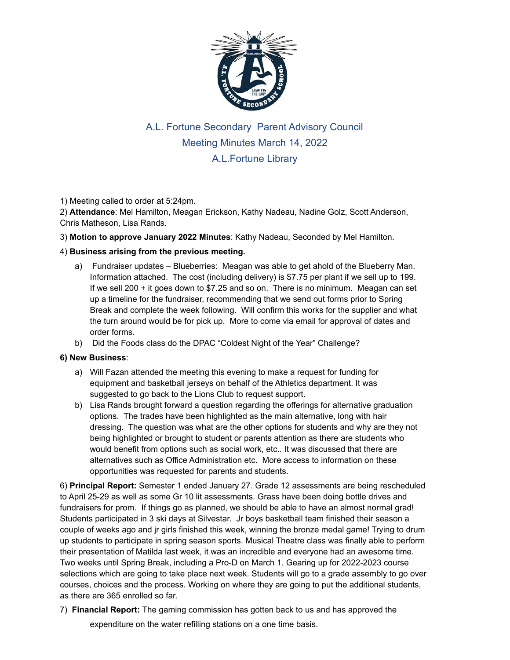

## A.L. Fortune Secondary Parent Advisory Council Meeting Minutes March 14, 2022 A.L.Fortune Library

1) Meeting called to order at 5:24pm.

2) **Attendance**: Mel Hamilton, Meagan Erickson, Kathy Nadeau, Nadine Golz, Scott Anderson, Chris Matheson, Lisa Rands.

3) **Motion to approve January 2022 Minutes**: Kathy Nadeau, Seconded by Mel Hamilton.

## 4) **Business arising from the previous meeting.**

- a) Fundraiser updates Blueberries: Meagan was able to get ahold of the Blueberry Man. Information attached. The cost (including delivery) is \$7.75 per plant if we sell up to 199. If we sell 200 + it goes down to \$7.25 and so on. There is no minimum. Meagan can set up a timeline for the fundraiser, recommending that we send out forms prior to Spring Break and complete the week following. Will confirm this works for the supplier and what the turn around would be for pick up. More to come via email for approval of dates and order forms.
- b) Did the Foods class do the DPAC "Coldest Night of the Year" Challenge?

## **6) New Business**:

- a) Will Fazan attended the meeting this evening to make a request for funding for equipment and basketball jerseys on behalf of the Athletics department. It was suggested to go back to the Lions Club to request support.
- b) Lisa Rands brought forward a question regarding the offerings for alternative graduation options. The trades have been highlighted as the main alternative, long with hair dressing. The question was what are the other options for students and why are they not being highlighted or brought to student or parents attention as there are students who would benefit from options such as social work, etc.. It was discussed that there are alternatives such as Office Administration etc. More access to information on these opportunities was requested for parents and students.

6) **Principal Report:** Semester 1 ended January 27. Grade 12 assessments are being rescheduled to April 25-29 as well as some Gr 10 lit assessments. Grass have been doing bottle drives and fundraisers for prom. If things go as planned, we should be able to have an almost normal grad! Students participated in 3 ski days at Silvestar. Jr boys basketball team finished their season a couple of weeks ago and jr girls finished this week, winning the bronze medal game! Trying to drum up students to participate in spring season sports. Musical Theatre class was finally able to perform their presentation of Matilda last week, it was an incredible and everyone had an awesome time. Two weeks until Spring Break, including a Pro-D on March 1. Gearing up for 2022-2023 course selections which are going to take place next week. Students will go to a grade assembly to go over courses, choices and the process. Working on where they are going to put the additional students, as there are 365 enrolled so far.

7) **Financial Report:** The gaming commission has gotten back to us and has approved the expenditure on the water refilling stations on a one time basis.